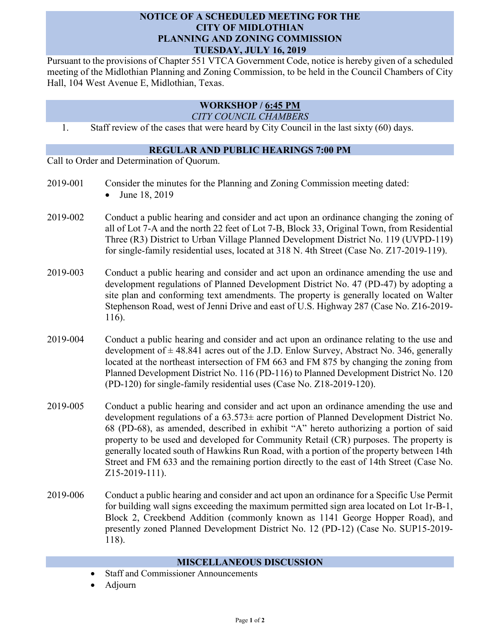## **NOTICE OF A SCHEDULED MEETING FOR THE CITY OF MIDLOTHIAN PLANNING AND ZONING COMMISSION TUESDAY, JULY 16, 2019**

Pursuant to the provisions of Chapter 551 VTCA Government Code, notice is hereby given of a scheduled meeting of the Midlothian Planning and Zoning Commission, to be held in the Council Chambers of City Hall, 104 West Avenue E, Midlothian, Texas.

## **WORKSHOP / 6:45 PM**

*CITY COUNCIL CHAMBERS*

1. Staff review of the cases that were heard by City Council in the last sixty (60) days.

## **REGULAR AND PUBLIC HEARINGS 7:00 PM**

Call to Order and Determination of Quorum.

- 2019-001 Consider the minutes for the Planning and Zoning Commission meeting dated: • June 18, 2019
- 2019-002 Conduct a public hearing and consider and act upon an ordinance changing the zoning of all of Lot 7-A and the north 22 feet of Lot 7-B, Block 33, Original Town, from Residential Three (R3) District to Urban Village Planned Development District No. 119 (UVPD-119) for single-family residential uses, located at 318 N. 4th Street (Case No. Z17-2019-119).
- 2019-003 Conduct a public hearing and consider and act upon an ordinance amending the use and development regulations of Planned Development District No. 47 (PD-47) by adopting a site plan and conforming text amendments. The property is generally located on Walter Stephenson Road, west of Jenni Drive and east of U.S. Highway 287 (Case No. Z16-2019- 116).
- 2019-004 Conduct a public hearing and consider and act upon an ordinance relating to the use and development of  $\pm$  48.841 acres out of the J.D. Enlow Survey, Abstract No. 346, generally located at the northeast intersection of FM 663 and FM 875 by changing the zoning from Planned Development District No. 116 (PD-116) to Planned Development District No. 120 (PD-120) for single-family residential uses (Case No. Z18-2019-120).
- 2019-005 Conduct a public hearing and consider and act upon an ordinance amending the use and development regulations of a 63.573± acre portion of Planned Development District No. 68 (PD-68), as amended, described in exhibit "A" hereto authorizing a portion of said property to be used and developed for Community Retail (CR) purposes. The property is generally located south of Hawkins Run Road, with a portion of the property between 14th Street and FM 633 and the remaining portion directly to the east of 14th Street (Case No. Z15-2019-111).
- 2019-006 Conduct a public hearing and consider and act upon an ordinance for a Specific Use Permit for building wall signs exceeding the maximum permitted sign area located on Lot 1r-B-1, Block 2, Creekbend Addition (commonly known as 1141 George Hopper Road), and presently zoned Planned Development District No. 12 (PD-12) (Case No. SUP15-2019- 118).

## **MISCELLANEOUS DISCUSSION**

- Staff and Commissioner Announcements
- Adjourn